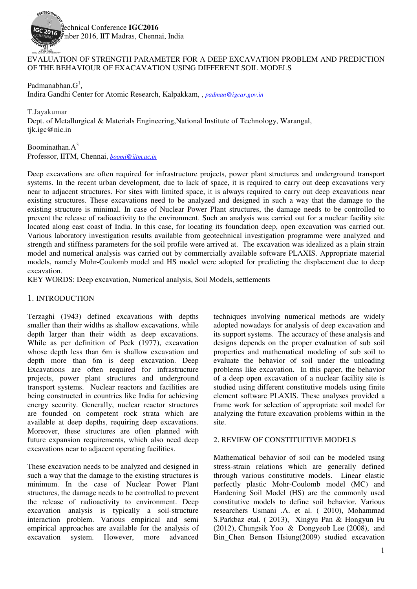

### EVALUATION OF STRENGTH PARAMETER FOR A DEEP EXCAVATION PROBLEM AND PREDICTION OF THE BEHAVIOUR OF EXACAVATION USING DIFFERENT SOIL MODELS

Padmanabhan. $G^1$ , Indira Gandhi Center for Atomic Research, Kalpakkam, , *padman@igcar.gov.in*

T.Jayakumar Dept. of Metallurgical & Materials Engineering,National Institute of Technology, Warangal, tjk.igc@nic.in

Boominathan. $A^3$ Professor, IITM, Chennai, *boomi@iitm.ac.in*

Deep excavations are often required for infrastructure projects, power plant structures and underground transport systems. In the recent urban development, due to lack of space, it is required to carry out deep excavations very near to adjacent structures. For sites with limited space, it is always required to carry out deep excavations near existing structures. These excavations need to be analyzed and designed in such a way that the damage to the existing structure is minimal. In case of Nuclear Power Plant structures, the damage needs to be controlled to prevent the release of radioactivity to the environment. Such an analysis was carried out for a nuclear facility site located along east coast of India. In this case, for locating its foundation deep, open excavation was carried out. Various laboratory investigation results available from geotechnical investigation programme were analyzed and strength and stiffness parameters for the soil profile were arrived at. The excavation was idealized as a plain strain model and numerical analysis was carried out by commercially available software PLAXIS. Appropriate material models, namely Mohr-Coulomb model and HS model were adopted for predicting the displacement due to deep excavation.

KEY WORDS: Deep excavation, Numerical analysis, Soil Models, settlements

### 1. INTRODUCTION

Terzaghi (1943) defined excavations with depths smaller than their widths as shallow excavations, while depth larger than their width as deep excavations. While as per definition of Peck (1977), excavation whose depth less than 6m is shallow excavation and depth more than 6m is deep excavation. Deep Excavations are often required for infrastructure projects, power plant structures and underground transport systems. Nuclear reactors and facilities are being constructed in countries like India for achieving energy security. Generally, nuclear reactor structures are founded on competent rock strata which are available at deep depths, requiring deep excavations. Moreover, these structures are often planned with future expansion requirements, which also need deep excavations near to adjacent operating facilities.

These excavation needs to be analyzed and designed in such a way that the damage to the existing structures is minimum. In the case of Nuclear Power Plant structures, the damage needs to be controlled to prevent the release of radioactivity to environment. Deep excavation analysis is typically a soil-structure interaction problem. Various empirical and semi empirical approaches are available for the analysis of excavation system. However, more advanced techniques involving numerical methods are widely adopted nowadays for analysis of deep excavation and its support systems. The accuracy of these analysis and designs depends on the proper evaluation of sub soil properties and mathematical modeling of sub soil to evaluate the behavior of soil under the unloading problems like excavation. In this paper, the behavior of a deep open excavation of a nuclear facility site is studied using different constitutive models using finite element software PLAXIS. These analyses provided a frame work for selection of appropriate soil model for analyzing the future excavation problems within in the site.

#### 2. REVIEW OF CONSTITUITIVE MODELS

Mathematical behavior of soil can be modeled using stress-strain relations which are generally defined through various constitutive models. Linear elastic perfectly plastic Mohr-Coulomb model (MC) and Hardening Soil Model (HS) are the commonly used constitutive models to define soil behavior. Various researchers Usmani .A. et al. ( 2010), Mohammad S.Parkbaz etal. ( 2013), Xingyu Pan & Hongyun Fu (2012), Chungsik Yoo & Dongyeob Lee (2008), and Bin\_Chen Benson Hsiung(2009) studied excavation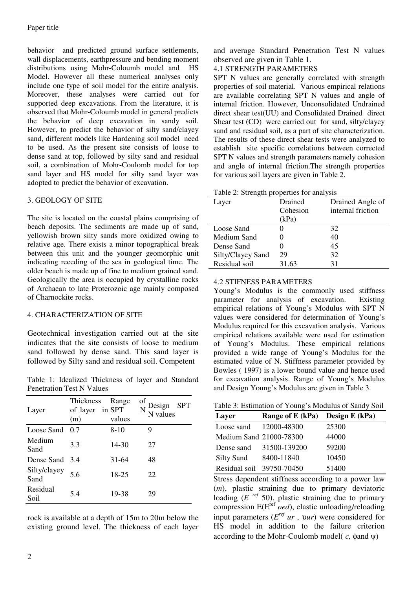behavior and predicted ground surface settlements, wall displacements, earthpressure and bending moment distributions using Mohr-Coloumb model and HS Model. However all these numerical analyses only include one type of soil model for the entire analysis. Moreover, these analyses were carried out for supported deep excavations. From the literature, it is observed that Mohr-Coloumb model in general predicts the behavior of deep excavation in sandy soil. However, to predict the behavior of silty sand/clayey sand, different models like Hardening soil model need to be used. As the present site consists of loose to dense sand at top, followed by silty sand and residual soil, a combination of Mohr-Coulomb model for top sand layer and HS model for silty sand layer was adopted to predict the behavior of excavation.

# 3. GEOLOGY OF SITE

The site is located on the coastal plains comprising of beach deposits. The sediments are made up of sand, yellowish brown silty sands more oxidized owing to relative age. There exists a minor topographical break between this unit and the younger geomorphic unit indicating receding of the sea in geological time. The older beach is made up of fine to medium grained sand. Geologically the area is occupied by crystalline rocks of Archaean to late Proterozoic age mainly composed of Charnockite rocks.

## 4. CHARACTERIZATION OF SITE

Geotechnical investigation carried out at the site indicates that the site consists of loose to medium sand followed by dense sand. This sand layer is followed by Silty sand and residual soil. Competent

Table 1: Idealized Thickness of layer and Standard Penetration Test N Values

| Layer                | <b>Thickness</b><br>of layer<br>(m) | Range<br>in SPT<br>values | of<br>Design<br>N values<br><b>SPT</b> |
|----------------------|-------------------------------------|---------------------------|----------------------------------------|
| Loose Sand           | 0.7                                 | $8-10$                    | 9                                      |
| Medium<br>Sand       | 3.3                                 | 14-30                     | 27                                     |
| Dense Sand           | 3.4                                 | $31 - 64$                 | 48                                     |
| Silty/clayey<br>Sand | 5.6                                 | 18-25                     | 22                                     |
| Residual<br>Soil     | 5.4                                 | 19-38                     | 29                                     |

rock is available at a depth of 15m to 20m below the existing ground level. The thickness of each layer and average Standard Penetration Test N values observed are given in Table 1.

## 4.1 STRENGTH PARAMETERS

SPT N values are generally correlated with strength properties of soil material. Various empirical relations are available correlating SPT N values and angle of internal friction. However, Unconsolidated Undrained direct shear test(UU) and Consolidated Drained direct Shear test (CD) were carried out for sand, silty/clayey sand and residual soil, as a part of site characterization. The results of these direct shear tests were analyzed to establish site specific correlations between corrected SPT N values and strength parameters namely cohesion and angle of internal friction.The strength properties for various soil layers are given in Table 2.

|  | Table 2: Strength properties for analysis |  |
|--|-------------------------------------------|--|
|  |                                           |  |

| Layer             | Drained  | Drained Angle of  |
|-------------------|----------|-------------------|
|                   | Cohesion | internal friction |
|                   | (kPa)    |                   |
| Loose Sand        |          | 32                |
| Medium Sand       |          | 40                |
| Dense Sand        |          | 45                |
| Silty/Clayey Sand | 29       | 32                |
| Residual soil     | 31.63    | 31                |

## 4.2 STIFNESS PARAMETERS

Young's Modulus is the commonly used stiffness parameter for analysis of excavation. Existing empirical relations of Young's Modulus with SPT N values were considered for determination of Young's Modulus required for this excavation analysis. Various empirical relations available were used for estimation of Young's Modulus. These empirical relations provided a wide range of Young's Modulus for the estimated value of N. Stiffness parameter provided by Bowles ( 1997) is a lower bound value and hence used for excavation analysis. Range of Young's Modulus and Design Young's Modulus are given in Table 3.

Table 3: Estimation of Young's Modulus of Sandy Soil

| Layer                     | Range of E $(kPa)$ Design E $(kPa)$ |       |
|---------------------------|-------------------------------------|-------|
| Loose sand                | 12000-48300                         | 25300 |
| Medium Sand 21000-78300   |                                     | 44000 |
| Dense sand                | 31500-139200                        | 59200 |
| Silty Sand                | 8400-11840                          | 10450 |
| Residual soil 39750-70450 |                                     | 51400 |

Stress dependent stiffness according to a power law (*m*), plastic straining due to primary deviatoric loading  $(E \text{ref } 50)$ , plastic straining due to primary compression E(Eref *oed*), elastic unloading/reloading input parameters (*E<sup>ref</sup> ur*, v*ur*) were considered for HS model in addition to the failure criterion according to the Mohr-Coulomb model( *c,* φand ψ)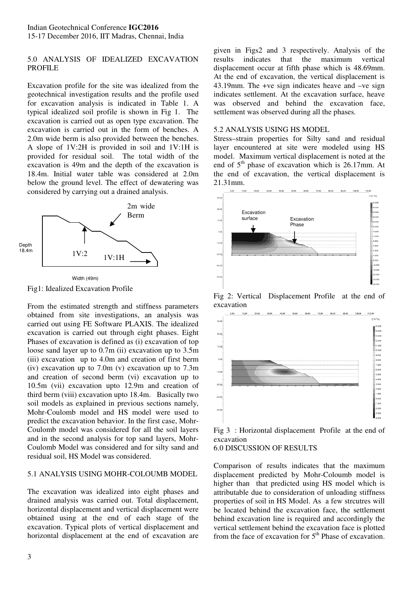### 5.0 ANALYSIS OF IDEALIZED EXCAVATION PROFILE

Excavation profile for the site was idealized from the geotechnical investigation results and the profile used for excavation analysis is indicated in Table 1. A typical idealized soil profile is shown in Fig 1. The excavation is carried out as open type excavation. The excavation is carried out in the form of benches. A 2.0m wide berm is also provided between the benches. A slope of 1V:2H is provided in soil and 1V:1H is provided for residual soil. The total width of the excavation is 49m and the depth of the excavation is 18.4m. Initial water table was considered at 2.0m below the ground level. The effect of dewatering was considered by carrying out a drained analysis.



Fig1: Idealized Excavation Profile

From the estimated strength and stiffness parameters obtained from site investigations, an analysis was carried out using FE Software PLAXIS. The idealized excavation is carried out through eight phases. Eight Phases of excavation is defined as (i) excavation of top loose sand layer up to 0.7m (ii) excavation up to 3.5m (iii) excavation up to 4.0m and creation of first berm (iv) excavation up to 7.0m (v) excavation up to 7.3m and creation of second berm (vi) excavation up to 10.5m (vii) excavation upto 12.9m and creation of third berm (viii) excavation upto 18.4m. Basically two soil models as explained in previous sections namely, Mohr-Coulomb model and HS model were used to predict the excavation behavior. In the first case, Mohr-Coulomb model was considered for all the soil layers and in the second analysis for top sand layers, Mohr-Coulomb Model was considered and for silty sand and residual soil, HS Model was considered.

## 5.1 ANALYSIS USING MOHR-COLOUMB MODEL

The excavation was idealized into eight phases and drained analysis was carried out. Total displacement, horizontal displacement and vertical displacement were obtained using at the end of each stage of the excavation. Typical plots of vertical displacement and horizontal displacement at the end of excavation are results indicates that the maximum vertical displacement occur at fifth phase which is 48.69mm. At the end of excavation, the vertical displacement is 43.19mm. The +ve sign indicates heave and –ve sign indicates settlement. At the excavation surface, heave was observed and behind the excavation face, settlement was observed during all the phases.

#### 5.2 ANALYSIS USING HS MODEL

Stress–strain properties for Silty sand and residual layer encountered at site were modeled using HS model. Maximum vertical displacement is noted at the end of  $5<sup>th</sup>$  phase of excavation which is 26.17mm. At the end of excavation, the vertical displacement is 21.31mm.



Fig 2: Vertical Displacement Profile at the end of excavation



Fig 3 : Horizontal displacement Profile at the end of excavation

#### 6.0 DISCUSSION OF RESULTS

Comparison of results indicates that the maximum displacement predicted by Mohr-Coloumb model is higher than that predicted using HS model which is attributable due to consideration of unloading stiffness properties of soil in HS Model. As a few strcutres will be located behind the excavation face, the settlement behind excavation line is required and accordingly the vertical settlement behind the excavation face is plotted from the face of excavation for  $5<sup>th</sup>$  Phase of excavation.